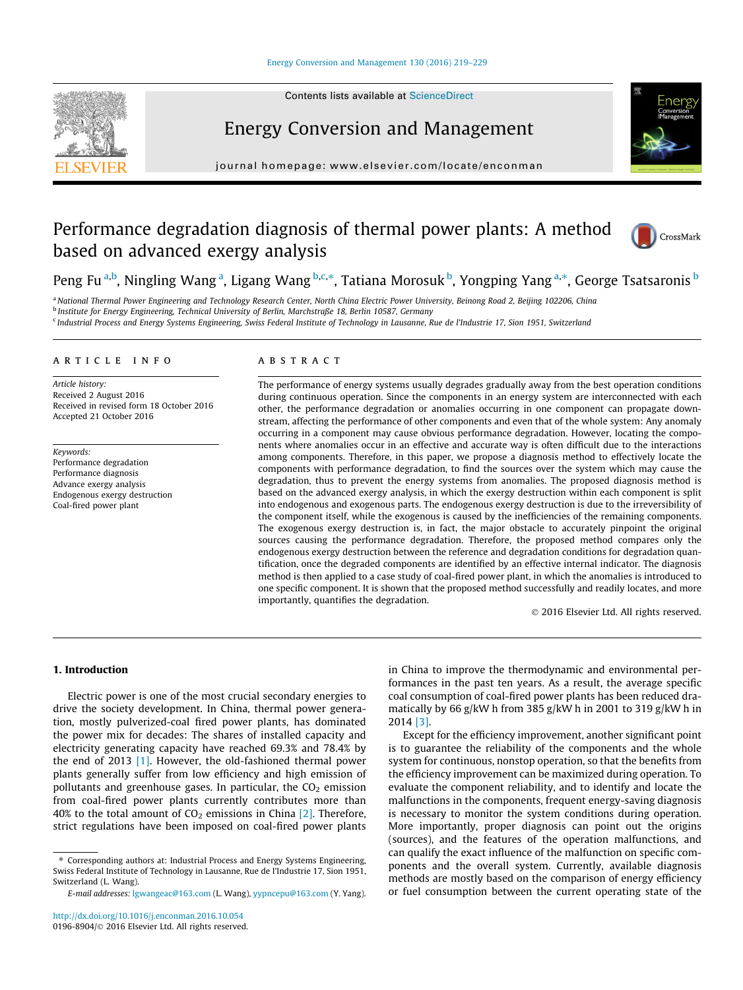#### [Energy Conversion and Management 130 \(2016\) 219–229](http://dx.doi.org/10.1016/j.enconman.2016.10.054)





Energy Conversion and Management

journal homepage: [www.elsevier.com/locate/enconman](http://www.elsevier.com/locate/enconman)

# Performance degradation diagnosis of thermal power plants: A method based on advanced exergy analysis



# Peng Fu<sup>a,b</sup>, Ningling Wang<sup>a</sup>, Ligang Wang <sup>b,c,</sup>\*, Tatiana Morosuk <sup>b</sup>, Yongping Yang <sup>a,</sup>\*, George Tsatsaronis <sup>b</sup>

a National Thermal Power Engineering and Technology Research Center, North China Electric Power University, Beinong Road 2, Beijing 102206, China <sup>b</sup> Institute for Energy Engineering, Technical University of Berlin, Marchstraße 18, Berlin 10587, Germany <sup>c</sup> Industrial Process and Energy Systems Engineering, Swiss Federal Institute of Technology in Lausanne, Rue de l'Industrie 17, Sion 1951, Switzerland

## article info

Article history: Received 2 August 2016 Received in revised form 18 October 2016 Accepted 21 October 2016

Keywords: Performance degradation Performance diagnosis Advance exergy analysis Endogenous exergy destruction Coal-fired power plant

# A B S T R A C T

The performance of energy systems usually degrades gradually away from the best operation conditions during continuous operation. Since the components in an energy system are interconnected with each other, the performance degradation or anomalies occurring in one component can propagate downstream, affecting the performance of other components and even that of the whole system: Any anomaly occurring in a component may cause obvious performance degradation. However, locating the components where anomalies occur in an effective and accurate way is often difficult due to the interactions among components. Therefore, in this paper, we propose a diagnosis method to effectively locate the components with performance degradation, to find the sources over the system which may cause the degradation, thus to prevent the energy systems from anomalies. The proposed diagnosis method is based on the advanced exergy analysis, in which the exergy destruction within each component is split into endogenous and exogenous parts. The endogenous exergy destruction is due to the irreversibility of the component itself, while the exogenous is caused by the inefficiencies of the remaining components. The exogenous exergy destruction is, in fact, the major obstacle to accurately pinpoint the original sources causing the performance degradation. Therefore, the proposed method compares only the endogenous exergy destruction between the reference and degradation conditions for degradation quantification, once the degraded components are identified by an effective internal indicator. The diagnosis method is then applied to a case study of coal-fired power plant, in which the anomalies is introduced to one specific component. It is shown that the proposed method successfully and readily locates, and more importantly, quantifies the degradation.

2016 Elsevier Ltd. All rights reserved.

## 1. Introduction

Electric power is one of the most crucial secondary energies to drive the society development. In China, thermal power generation, mostly pulverized-coal fired power plants, has dominated the power mix for decades: The shares of installed capacity and electricity generating capacity have reached 69.3% and 78.4% by the end of 2013 [\[1\]](#page--1-0). However, the old-fashioned thermal power plants generally suffer from low efficiency and high emission of pollutants and greenhouse gases. In particular, the  $CO<sub>2</sub>$  emission from coal-fired power plants currently contributes more than 40% to the total amount of  $CO<sub>2</sub>$  emissions in China [\[2\].](#page--1-0) Therefore, strict regulations have been imposed on coal-fired power plants

in China to improve the thermodynamic and environmental performances in the past ten years. As a result, the average specific coal consumption of coal-fired power plants has been reduced dramatically by 66 g/kW h from 385 g/kW h in 2001 to 319 g/kW h in 2014 [\[3\].](#page--1-0)

Except for the efficiency improvement, another significant point is to guarantee the reliability of the components and the whole system for continuous, nonstop operation, so that the benefits from the efficiency improvement can be maximized during operation. To evaluate the component reliability, and to identify and locate the malfunctions in the components, frequent energy-saving diagnosis is necessary to monitor the system conditions during operation. More importantly, proper diagnosis can point out the origins (sources), and the features of the operation malfunctions, and can qualify the exact influence of the malfunction on specific components and the overall system. Currently, available diagnosis methods are mostly based on the comparison of energy efficiency or fuel consumption between the current operating state of the

<sup>⇑</sup> Corresponding authors at: Industrial Process and Energy Systems Engineering, Swiss Federal Institute of Technology in Lausanne, Rue de l'Industrie 17, Sion 1951, Switzerland (L. Wang).

E-mail addresses: [lgwangeac@163.com](mailto:lgwangeac@163.com) (L. Wang), [yypncepu@163.com](mailto:yypncepu@163.com) (Y. Yang).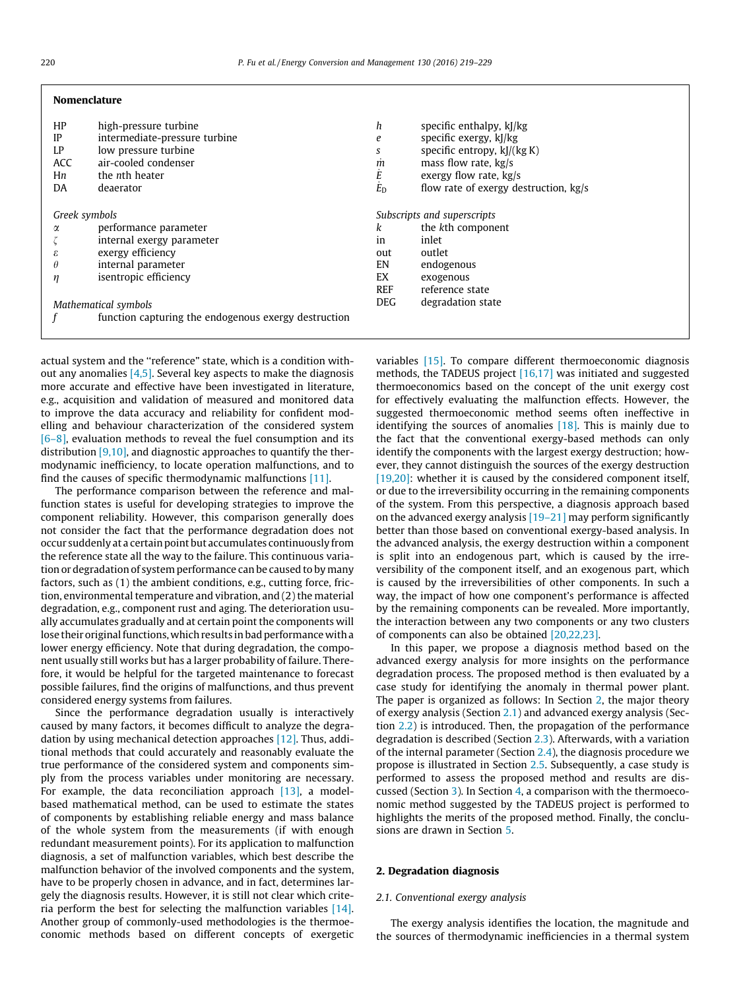| <b>Nomenclature</b>          |                                                                                                        |                                   |                                                                                                           |
|------------------------------|--------------------------------------------------------------------------------------------------------|-----------------------------------|-----------------------------------------------------------------------------------------------------------|
| HP<br>IP<br>LP<br><b>ACC</b> | high-pressure turbine<br>intermediate-pressure turbine<br>low pressure turbine<br>air-cooled condenser | h<br>e<br>s<br>m                  | specific enthalpy, kJ/kg<br>specific exergy, kJ/kg<br>specific entropy, kJ/(kg K)<br>mass flow rate, kg/s |
| Hn<br>DA                     | the <i>n</i> th heater<br>deaerator                                                                    | Е<br>$\overline{\dot{E}}_{\rm D}$ | exergy flow rate, kg/s<br>flow rate of exergy destruction, kg/s                                           |
| Greek symbols                |                                                                                                        | Subscripts and superscripts       |                                                                                                           |
| α                            | performance parameter                                                                                  | k                                 | the kth component                                                                                         |
|                              | internal exergy parameter                                                                              | in                                | inlet                                                                                                     |
| ε                            | exergy efficiency                                                                                      | out                               | outlet                                                                                                    |
| $\theta$                     | internal parameter                                                                                     | EN                                | endogenous                                                                                                |
| η                            | isentropic efficiency                                                                                  | EX                                | exogenous                                                                                                 |
|                              |                                                                                                        | <b>REF</b>                        | reference state                                                                                           |
| Mathematical symbols         |                                                                                                        | DEG.                              | degradation state                                                                                         |
|                              | function capturing the endogenous exergy destruction                                                   |                                   |                                                                                                           |

actual system and the ''reference" state, which is a condition without any anomalies [\[4,5\].](#page--1-0) Several key aspects to make the diagnosis more accurate and effective have been investigated in literature, e.g., acquisition and validation of measured and monitored data to improve the data accuracy and reliability for confident modelling and behaviour characterization of the considered system [\[6–8\],](#page--1-0) evaluation methods to reveal the fuel consumption and its distribution [\[9,10\]](#page--1-0), and diagnostic approaches to quantify the thermodynamic inefficiency, to locate operation malfunctions, and to find the causes of specific thermodynamic malfunctions [\[11\].](#page--1-0)

The performance comparison between the reference and malfunction states is useful for developing strategies to improve the component reliability. However, this comparison generally does not consider the fact that the performance degradation does not occur suddenly at a certain point but accumulates continuously from the reference state all the way to the failure. This continuous variation or degradation of system performance can be caused to by many factors, such as (1) the ambient conditions, e.g., cutting force, friction, environmental temperature and vibration, and (2) the material degradation, e.g., component rust and aging. The deterioration usually accumulates gradually and at certain point the components will lose their original functions, which results in bad performance with a lower energy efficiency. Note that during degradation, the component usually still works but has a larger probability of failure. Therefore, it would be helpful for the targeted maintenance to forecast possible failures, find the origins of malfunctions, and thus prevent considered energy systems from failures.

Since the performance degradation usually is interactively caused by many factors, it becomes difficult to analyze the degradation by using mechanical detection approaches [\[12\]](#page--1-0). Thus, additional methods that could accurately and reasonably evaluate the true performance of the considered system and components simply from the process variables under monitoring are necessary. For example, the data reconciliation approach [\[13\]](#page--1-0), a modelbased mathematical method, can be used to estimate the states of components by establishing reliable energy and mass balance of the whole system from the measurements (if with enough redundant measurement points). For its application to malfunction diagnosis, a set of malfunction variables, which best describe the malfunction behavior of the involved components and the system, have to be properly chosen in advance, and in fact, determines largely the diagnosis results. However, it is still not clear which criteria perform the best for selecting the malfunction variables [\[14\].](#page--1-0) Another group of commonly-used methodologies is the thermoeconomic methods based on different concepts of exergetic variables [\[15\]](#page--1-0). To compare different thermoeconomic diagnosis methods, the TADEUS project [\[16,17\]](#page--1-0) was initiated and suggested thermoeconomics based on the concept of the unit exergy cost for effectively evaluating the malfunction effects. However, the suggested thermoeconomic method seems often ineffective in identifying the sources of anomalies  $[18]$ . This is mainly due to the fact that the conventional exergy-based methods can only identify the components with the largest exergy destruction; however, they cannot distinguish the sources of the exergy destruction [\[19,20\]](#page--1-0): whether it is caused by the considered component itself, or due to the irreversibility occurring in the remaining components of the system. From this perspective, a diagnosis approach based on the advanced exergy analysis [\[19–21\]](#page--1-0) may perform significantly better than those based on conventional exergy-based analysis. In the advanced analysis, the exergy destruction within a component is split into an endogenous part, which is caused by the irreversibility of the component itself, and an exogenous part, which is caused by the irreversibilities of other components. In such a way, the impact of how one component's performance is affected by the remaining components can be revealed. More importantly, the interaction between any two components or any two clusters of components can also be obtained [\[20,22,23\].](#page--1-0)

In this paper, we propose a diagnosis method based on the advanced exergy analysis for more insights on the performance degradation process. The proposed method is then evaluated by a case study for identifying the anomaly in thermal power plant. The paper is organized as follows: In Section 2, the major theory of exergy analysis (Section 2.1) and advanced exergy analysis (Section [2.2](#page--1-0)) is introduced. Then, the propagation of the performance degradation is described (Section [2.3](#page--1-0)). Afterwards, with a variation of the internal parameter (Section [2.4\)](#page--1-0), the diagnosis procedure we propose is illustrated in Section [2.5.](#page--1-0) Subsequently, a case study is performed to assess the proposed method and results are discussed (Section [3\)](#page--1-0). In Section [4,](#page--1-0) a comparison with the thermoeconomic method suggested by the TADEUS project is performed to highlights the merits of the proposed method. Finally, the conclusions are drawn in Section [5](#page--1-0).

# 2. Degradation diagnosis

## 2.1. Conventional exergy analysis

The exergy analysis identifies the location, the magnitude and the sources of thermodynamic inefficiencies in a thermal system